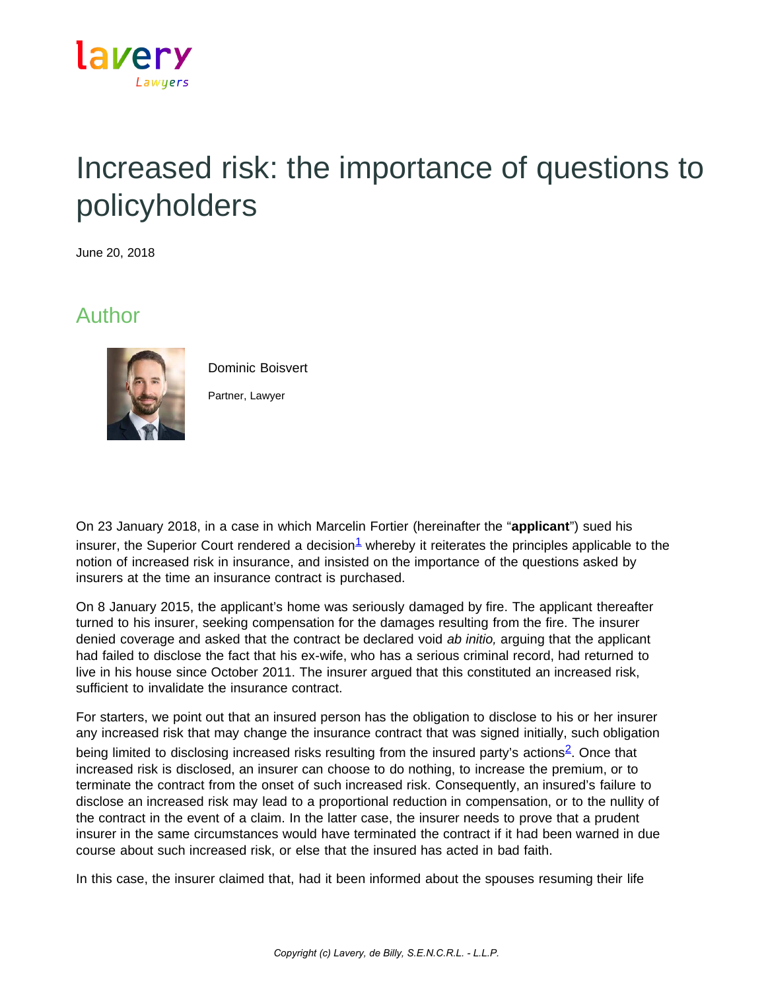

## Increased risk: the importance of questions to policyholders

June 20, 2018

## Author



Dominic Boisvert Partner, Lawyer

On 23 January 2018, in a case in which Marcelin Fortier (hereinafter the "**applicant**") sued his insurer, the Superior Court rendered a decision $1$  whereby it reiterates the principles applicable to the notion of increased risk in insurance, and insisted on the importance of the questions asked by insurers at the time an insurance contract is purchased.

On 8 January 2015, the applicant's home was seriously damaged by fire. The applicant thereafter turned to his insurer, seeking compensation for the damages resulting from the fire. The insurer denied coverage and asked that the contract be declared void *ab initio,* arguing that the applicant had failed to disclose the fact that his ex-wife, who has a serious criminal record, had returned to live in his house since October 2011. The insurer argued that this constituted an increased risk, sufficient to invalidate the insurance contract.

For starters, we point out that an insured person has the obligation to disclose to his or her insurer any increased risk that may change the insurance contract that was signed initially, such obligation being limited to disclosing increased risks resulting from the insured party's actions<sup>2</sup>. Once that increased risk is disclosed, an insurer can choose to do nothing, to increase the premium, or to terminate the contract from the onset of such increased risk. Consequently, an insured's failure to disclose an increased risk may lead to a proportional reduction in compensation, or to the nullity of the contract in the event of a claim. In the latter case, the insurer needs to prove that a prudent insurer in the same circumstances would have terminated the contract if it had been warned in due course about such increased risk, or else that the insured has acted in bad faith.

In this case, the insurer claimed that, had it been informed about the spouses resuming their life